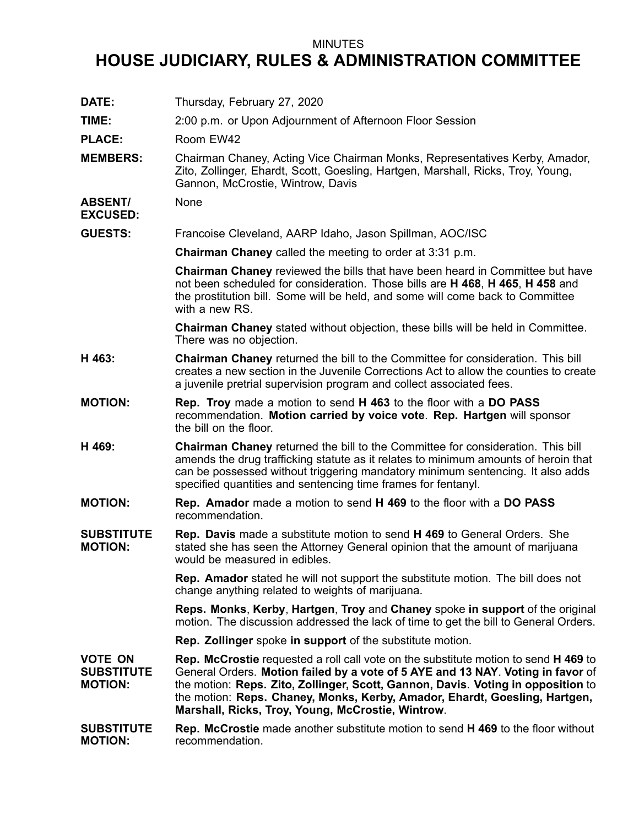## MINUTES

## **HOUSE JUDICIARY, RULES & ADMINISTRATION COMMITTEE**

| DATE:                                                 | Thursday, February 27, 2020                                                                                                                                                                                                                                                                                                                                                                                 |
|-------------------------------------------------------|-------------------------------------------------------------------------------------------------------------------------------------------------------------------------------------------------------------------------------------------------------------------------------------------------------------------------------------------------------------------------------------------------------------|
| TIME:                                                 | 2:00 p.m. or Upon Adjournment of Afternoon Floor Session                                                                                                                                                                                                                                                                                                                                                    |
| <b>PLACE:</b>                                         | Room EW42                                                                                                                                                                                                                                                                                                                                                                                                   |
| <b>MEMBERS:</b>                                       | Chairman Chaney, Acting Vice Chairman Monks, Representatives Kerby, Amador,<br>Zito, Zollinger, Ehardt, Scott, Goesling, Hartgen, Marshall, Ricks, Troy, Young,<br>Gannon, McCrostie, Wintrow, Davis                                                                                                                                                                                                        |
| <b>ABSENT/</b><br><b>EXCUSED:</b>                     | None                                                                                                                                                                                                                                                                                                                                                                                                        |
| <b>GUESTS:</b>                                        | Francoise Cleveland, AARP Idaho, Jason Spillman, AOC/ISC                                                                                                                                                                                                                                                                                                                                                    |
|                                                       | <b>Chairman Chaney</b> called the meeting to order at 3:31 p.m.                                                                                                                                                                                                                                                                                                                                             |
|                                                       | <b>Chairman Chaney</b> reviewed the bills that have been heard in Committee but have<br>not been scheduled for consideration. Those bills are H 468, H 465, H 458 and<br>the prostitution bill. Some will be held, and some will come back to Committee<br>with a new RS.                                                                                                                                   |
|                                                       | Chairman Chaney stated without objection, these bills will be held in Committee.<br>There was no objection.                                                                                                                                                                                                                                                                                                 |
| H 463:                                                | Chairman Chaney returned the bill to the Committee for consideration. This bill<br>creates a new section in the Juvenile Corrections Act to allow the counties to create<br>a juvenile pretrial supervision program and collect associated fees.                                                                                                                                                            |
| <b>MOTION:</b>                                        | <b>Rep. Troy</b> made a motion to send <b>H 463</b> to the floor with a DO PASS<br>recommendation. Motion carried by voice vote. Rep. Hartgen will sponsor<br>the bill on the floor.                                                                                                                                                                                                                        |
| H 469:                                                | Chairman Chaney returned the bill to the Committee for consideration. This bill<br>amends the drug trafficking statute as it relates to minimum amounts of heroin that<br>can be possessed without triggering mandatory minimum sentencing. It also adds<br>specified quantities and sentencing time frames for fentanyl.                                                                                   |
| <b>MOTION:</b>                                        | Rep. Amador made a motion to send H 469 to the floor with a DO PASS<br>recommendation.                                                                                                                                                                                                                                                                                                                      |
| <b>SUBSTITUTE</b><br><b>MOTION:</b>                   | <b>Rep. Davis</b> made a substitute motion to send <b>H 469</b> to General Orders. She<br>stated she has seen the Attorney General opinion that the amount of marijuana<br>would be measured in edibles.                                                                                                                                                                                                    |
|                                                       | <b>Rep. Amador</b> stated he will not support the substitute motion. The bill does not<br>change anything related to weights of marijuana.                                                                                                                                                                                                                                                                  |
|                                                       | Reps. Monks, Kerby, Hartgen, Troy and Chaney spoke in support of the original<br>motion. The discussion addressed the lack of time to get the bill to General Orders.                                                                                                                                                                                                                                       |
|                                                       | <b>Rep. Zollinger</b> spoke in support of the substitute motion.                                                                                                                                                                                                                                                                                                                                            |
| <b>VOTE ON</b><br><b>SUBSTITUTE</b><br><b>MOTION:</b> | <b>Rep. McCrostie</b> requested a roll call vote on the substitute motion to send <b>H 469</b> to<br>General Orders. Motion failed by a vote of 5 AYE and 13 NAY. Voting in favor of<br>the motion: Reps. Zito, Zollinger, Scott, Gannon, Davis. Voting in opposition to<br>the motion: Reps. Chaney, Monks, Kerby, Amador, Ehardt, Goesling, Hartgen,<br>Marshall, Ricks, Troy, Young, McCrostie, Wintrow. |
| <b>SUBSTITUTE</b><br><b>MOTION:</b>                   | <b>Rep. McCrostie</b> made another substitute motion to send <b>H 469</b> to the floor without<br>recommendation.                                                                                                                                                                                                                                                                                           |